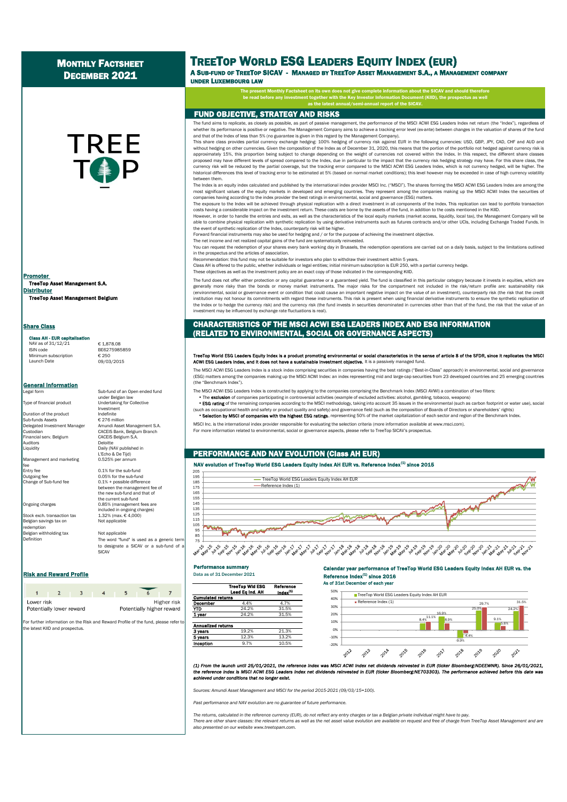## MONTHLY FACTSHEET DECEMBER 2021

# **TREE** TO P

TreeTop Asset Management S.A. **Distributor** Promoter

TreeTop Asset Management Belgium

#### **Share Class**

#### ss AH - EUR ca

Minimum subscription € 250<br>Launch Date 09/03

NAV as of 31/12/21 € 1,878.08<br>ISIN code BF6275985 BF6275985859

 $C_{250}$ <br>09/03/2015

General Information

Duration of the product  $\begin{array}{ccc}\n\text{In addition} \\
\text{Sub-fundes Assets} \\
\text{Sub-fundes Assets}\n\end{array}$ Sub-funds Assets Custodian<br>Financial serv. Belgium<br>Auditors Auditors Deloitte<br>
Liquidity Daily (N

Management and marketing fee<br>Fntry fee

Change of Sub-fund fee

Belgian savings tax on Not applicable redemption Belgian withholding tax Not applicable Definition

Legal form Sub-fund of an Open ended fund under Belgian law Type of financial product Undertaking for Collective Investment Delegated Investment Manager Amundi Asset Management S.A. CACEIS Bank, Belgium Branch<br>CACEIS Belgium S.A. Liquidity Daily (NAV published in

> The word "fund" is used as a generic term to designate a SICAV or a sub-fund of a **SICAV**

#### Risk and Reward Profile **Risk and Reward Profile Data as of 31 December 2021**

| Lower risk | Potentially lower reward | Higher risk<br>Potentially higher reward |  |  |  |
|------------|--------------------------|------------------------------------------|--|--|--|

For further information on the Risk and Reward Profile of the fund, please refer to the latest KIID and prospectus.

# TREETOP WORLD ESG LEADERS EQUITY INDEX (EUR)

A SUB-FUND OF TREETOP SICAV - MANAGED BY TREETOP ASSET MANAGEMENT S.A., A MANAGEMENT COMPANY UNDER LUXEMBOURG LAW

> The present Monthly Factsheet on its own does not give complete information about the SICAV and should therefore be read in the Key Indian to the Key International International Internation Document (KIID), the problem in the  $\epsilon$ as the latest annual/semi-annual report of the SICAV.

## FUND OBJECTIVE, STRATEGY AND RISKS

The fund aims to replicate, as closely as possible, as part of passive management, the performance of the MSCI ACWI ESG Leaders Index net return (the "Index"), regardless of whether its performance is positive or negative. The Management Company aims to achieve a tracking error level (ex-ante) between changes in the valuation of shares of the fund and that of the Index of less than 5% (no guarantee is given in this regard by the Management Company).

This share class provides partial currency exchange hedging: 100% hedging of currency risk against EUR in the following currencies: USD, GBP, JPY, CAD, CHF and AUD and without hedging on other currencies. Given the composition of the Index as of December 31, 2020, this means that the portion of the portfolio not hedged against currency risk is approximately 15%, this proportion being subject to change depending on the weight of currencies not covered within the Index. In this respect, the different share classes proposed may have different levels of spread compared to the Index, due in particular to the impact that the currency risk hedging strategy may have. For this share class, the currency risk will be reduced by the partial coverage, but the tracking error compared to the MSCI ACWI ESG Leaders Index, which is not currency hedged, will be higher. The historical differences this level of tracking error to be estimated at 5% (based on normal market conditions); this level however may be exceeded in case of high currency volatility between them.

The Index is an equity index calculated and published by the international index provider MSCI Inc. ("MSCI"). The shares forming the MSCI ACWI ESG Leaders Index are among the most significant values of the equity markets in developed and emerging countries. They represent among the companies making up the MSCI ACWI Index the securities of companies having according to the index provider the best ratings in environmental, social and governance (ESG) matters.

The exposure to the Index will be achieved through physical replication with a direct investment in all components of the Index. This replication can lead to portfolio transaction costs having a considerable impact on the investment return. These costs are borne by the assets of the fund, in addition to the costs mentioned in the KIID.

However, in order to handle the entries and exits, as well as the characteristics of the local equity markets (market access, liquidity, local tax), the Management Company will be able to combine physical replication with synthetic replication by using derivative instruments such as futures contracts and/or other UCIs, including Exchange Traded Funds. In the event of synthetic replication of the Index, counterparty risk will be higher.

Forward financial instruments may also be used for hedging and / or for the purpose of achieving the investment objective. The net income and net realized capital gains of the fund are systematically reinvested.

You can request the redemption of your shares every bank working day in Brussels, the redemption operations are carried out on a daily basis, subject to the limitations outlined in the prospectus and the articles of association.

Recommendation: this fund may not be suitable for investors who plan to withdraw their investment within 5 years.

Class AH is offered to the public, whether individuals or legal entities; initial minimum subscription is EUR 250, with a partial currency hedge.

These objectives as well as the investment policy are an exact copy of those indicated in the corresponding KIID.

The fund does not offer either protection or any capital guarantee or a guaranteed yield. The fund is classified in this particular category because it invests in equities, which are generally more risky than the bonds or money market instruments. The major risks for the compartment not included in the risk/return profile are: sustainability risk (environmental, social or governance event or condition that could cause an important negative impact on the value of an investment), counterparty risk (the risk that the credit institution may not honour its commitments with regard these instruments. This risk is present when using financial derivative instruments to ensure the synthetic replication of the Index or to hedge the currency risk) and the currency risk (the fund invests in securities denominated in currencies other than that of the fund, the risk that the value of an investment may be influenced by exchange rate fluctuations is real).

### CHARACTERISTICS OF THE MSCI ACWI ESG LEADERS INDEX AND ESG INFORMATION (RELATED TO ENVIRONMENTAL, SOCIAL OR GOVERNANCE ASPECTS)

# TreeTop World ESG Leaders Equity Index is a product promoting environmental or social characteristics in the sense of article 8 of the SFDR, since it replicates the MSCI<br>ACWI ESG Leaders Index, and it does not have a susta

The MSCI ACWI ESG Leaders Index is a stock index comprising securities in companies having the best ratings ("Best-in-Class" approach) in environmental, social and governance (ESG) matters among the companies making up the MSCI ACWI Index: an index representing mid and large-cap securities from 23 developed countries and 25 emerging countries (the "Benchmark Index").

The MSCI ACWI ESG Leaders Index is constructed by applying to the companies comprising the Benchmark Index (MSCI AVWI) a combination of two filters:

The **exclusion** of companies participating in controversial activities (example of excluded activities: alcohol, gambling, tobacco, weapons)

• ESG rating of the remaining companies according to the MSCI methodology, taking into account 35 issues in the environmental (such as carbon footprint or water use), social (such as occupational health and safety or product quality and safety) and governance field (such as the composition of Boards of Directors or shareholders' rights)

. Selection by MSCI of companies with the highest ESG ratings, representing 50% of the market capitalization of each sector and region of the Benchmark Index.

MSCI Inc. is the international index provider responsible for evaluating the selection criteria (more information available at www.msci.com). For more information related to environmental, social or governance aspects, please refer to TreeTop SICAV's prospectus.

#### PERFORMANCE AND NAV EVOLUTION (Class AH EUR)

#### NAV evolution of TreeTop World ESG Leaders Equity Index AH EUR vs. Reference Index<sup>(1)</sup> since 2015



#### Performance summary

**1 year** 24.2% 31.5%

**5 years** 12.3% 13.2% **Inception** 9.7% 10.5%

Cumulated returns

Annualized returns **3 years** 19.2%

#### TreeTop Wid ESG Reference Lead Eq Ind. AH **December** 4.4% 4.7%<br> **YTD** 24.2% 31.5 24.2% 31.5% Reference Index $<sup>(1)</sup>$  since 2016</sup> As of 31st December of each year 30% 40% 50% **TreeTop World ESG Leaders Equity Index AH EUR**



Calendar year performance of TreeTop World ESG Leaders Equity Index AH EUR vs. the

9.1%

2020

5.6%

 $24.28$ 

2021

31.5%

(1) From the launch until 25/01/2021, the reference index was MSCI ACWI index net dividends reinvested in EUR (ticker Bloomberg:NDEEWNR). Since 26/01/2021,<br>the reference index is MSCI ACWI ESG Leaders index net dividends r *achieved under conditions that no longer exist.*

*Sources: Amundi Asset Management and MSCI for the period 2015-2021 (09/03/15=100).*

*Past performance and NAV evolution are no guarantee of future performance.*

*The returns, calculated in the reference currency (EUR), do not reflect any entry charges or tax a Belgian private individual might have to pay.*

There are other share classes: the relevant returns as well as the net asset value evolution are available on request and free of charge from TreeTop Asset Management and are *also presented on our website www.treetopam.com.*

L'Echo & De Tijd)<br>0.525% per annum  $0.05%$  for the sub-fund<br>0.1% + possible difference between the management fee of the new sub-fund and that of the current sub-fund Ongoing charges 0.85% (management fees are included in ongoing charges) Stock exch. transaction tax 1.32% (max. € 4,000)

entry fee 0.1% for the sub-fund<br>
0.05% for the sub-fund<br>
0.05% for the sub-fun